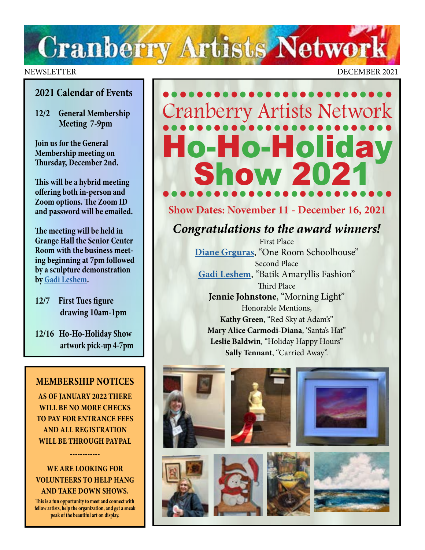# **Cranberry Artists Network**

#### **2021 Calendar of Events**

**12/2 General Membership Meeting 7-9pm**

**Join us for the General Membership meeting on Thursday, December 2nd.** 

**This will be a hybrid meeting offering both in-person and Zoom options. The Zoom ID and password will be emailed.**

**The meeting will be held in Grange Hall the Senior Center Room with the business meeting beginning at 7pm followed by a sculpture demonstration by [Gadi Leshem](https://www.instagram.com/gadi.leshem/?hl=en).**

- **12/7 First Tues figure drawing 10am-1pm**
- **12/16 Ho-Ho-Holiday Show artwork pick-up 4-7pm**

#### **MEMBERSHIP NOTICES**

**AS OF JANUARY 2022 THERE WILL BE NO MORE CHECKS TO PAY FOR ENTRANCE FEES AND ALL REGISTRATION WILL BE THROUGH PAYPAL** 

#### **WE ARE LOOKING FOR VOLUNTEERS TO HELP HANG AND TAKE DOWN SHOWS.**

**------------**

**This is a fun opportunity to meet and connect with fellow artists, help the organization, and get a sneak peak of the beautiful art on display.** 

NEWSLETTER DECEMBER 2021

# ••••••••••••••••••••••••••• Cranberry Artists Network ••••••••••••••••••••••••••• Ho-Holiday<br>Show 2021 •••••••••••••••••••••••••••

### **Show Dates: November 11 - December 16, 2021**

*Congratulations to the award winners!* 

First Place **[Diane Grguras](https://www.dianegrguras.com/)**, "One Room Schoolhouse" Second Place **[Gadi Leshem](https://www.instagram.com/gadi.leshem/?hl=en)**, "Batik Amaryllis Fashion" Third Place **Jennie Johnstone**, "Morning Light" Honorable Mentions, **Kathy Green**, "Red Sky at Adam's" **Mary Alice Carmodi-Diana**, 'Santa's Hat" **Leslie Baldwin**, "Holiday Happy Hours" **Sally Tennant**, "Carried Away".









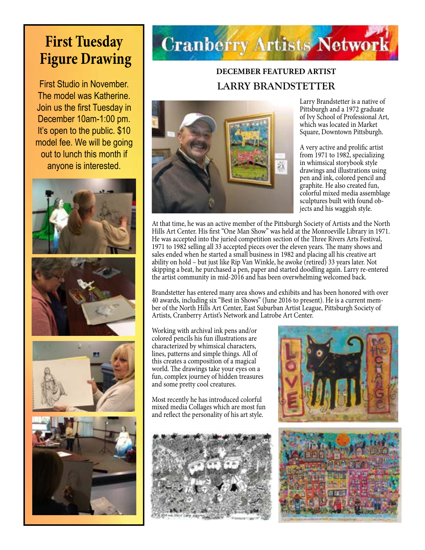# **First Tuesday Figure Drawing**

First Studio in November. The model was Katherine. Join us the first Tuesday in December 10am-1:00 pm. It's open to the public. \$10 model fee. We will be going out to lunch this month if anyone is interested.







# **Cranberry Artists Network**

# **DECEMBER FEATURED ARTIST LARRY BRANDSTETTER**



Larry Brandstetter is a native of Pittsburgh and a 1972 graduate of Ivy School of Professional Art, which was located in Market Square, Downtown Pittsburgh.

A very active and prolific artist from 1971 to 1982, specializing in whimsical storybook style drawings and illustrations using pen and ink, colored pencil and graphite. He also created fun, colorful mixed media assemblage sculptures built with found objects and his waggish style.

At that time, he was an active member of the Pittsburgh Society of Artists and the North Hills Art Center. His first "One Man Show" was held at the Monroeville Library in 1971. He was accepted into the juried competition section of the Three Rivers Arts Festival, 1971 to 1982 selling all 33 accepted pieces over the eleven years. The many shows and sales ended when he started a small business in 1982 and placing all his creative art ability on hold – but just like Rip Van Winkle, he awoke (retired) 33 years later. Not skipping a beat, he purchased a pen, paper and started doodling again. Larry re-entered the artist community in mid-2016 and has been overwhelming welcomed back.

Brandstetter has entered many area shows and exhibits and has been honored with over 40 awards, including six "Best in Shows" (June 2016 to present). He is a current member of the North Hills Art Center, East Suburban Artist League, Pittsburgh Society of Artists, Cranberry Artist's Network and Latrobe Art Center.

Working with archival ink pens and/or colored pencils his fun illustrations are characterized by whimsical characters, lines, patterns and simple things. All of this creates a composition of a magical world. The drawings take your eyes on a fun, complex journey of hidden treasures and some pretty cool creatures.

Most recently he has introduced colorful mixed media Collages which are most fun and reflect the personality of his art style.



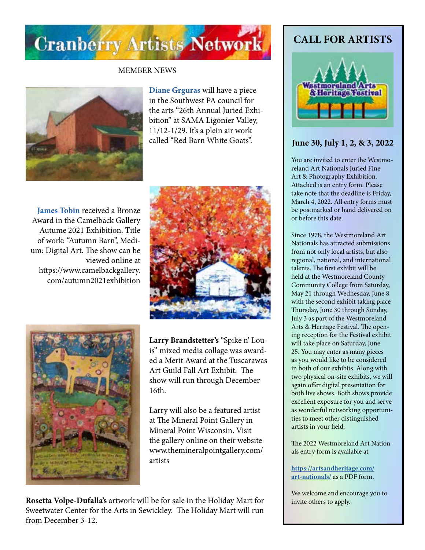

#### MEMBER NEWS



**[Diane Grguras](https://www.dianegrguras.com/)** will have a piece in the Southwest PA council for the arts "26th Annual Juried Exhibition" at SAMA Ligonier Valley, 11/12-1/29. It's a plein air work called "Red Barn White Goats".

**[James Tobin](http://jamestobinart.com)** received a Bronze Award in the Camelback Gallery Autume 2021 Exhibition. Title of work: "Autumn Barn", Medium: Digital Art. The show can be viewed online at https://www.camelbackgallery. com/autumn2021exhibition





**Larry Brandstetter's** "Spike n' Louis" mixed media collage was awarded a Merit Award at the Tuscarawas Art Guild Fall Art Exhibit. The show will run through December 16th.

Larry will also be a featured artist at The Mineral Point Gallery in Mineral Point Wisconsin. Visit the gallery online on their website www.themineralpointgallery.com/ artists

**Rosetta Volpe-Dufalla's** artwork will be for sale in the Holiday Mart for Sweetwater Center for the Arts in Sewickley. The Holiday Mart will run from December 3-12.

### **CALL FOR ARTISTS**



#### **June 30, July 1, 2, & 3, 2022**

You are invited to enter the Westmoreland Art Nationals Juried Fine Art & Photography Exhibition. Attached is an entry form. Please take note that the deadline is Friday, March 4, 2022. All entry forms must be postmarked or hand delivered on or before this date.

Since 1978, the Westmoreland Art Nationals has attracted submissions from not only local artists, but also regional, national, and international talents. The first exhibit will be held at the Westmoreland County Community College from Saturday, May 21 through Wednesday, June 8 with the second exhibit taking place Thursday, June 30 through Sunday, July 3 as part of the Westmoreland Arts & Heritage Festival. The opening reception for the Festival exhibit will take place on Saturday, June 25. You may enter as many pieces as you would like to be considered in both of our exhibits. Along with two physical on-site exhibits, we will again offer digital presentation for both live shows. Both shows provide excellent exposure for you and serve as wonderful networking opportunities to meet other distinguished artists in your field.

The 2022 Westmoreland Art Nationals entry form is available at

**[https://artsandheritage.com/](https://artsandheritage.com/art-nationals/) [art-nationals/](https://artsandheritage.com/art-nationals/)** as a PDF form.

We welcome and encourage you to invite others to apply.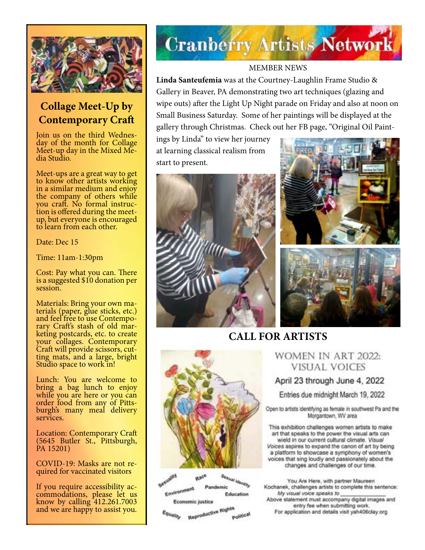

# **Collage Meet-Up by Contemporary Craft**

Join us on the third Wednes- day of the month for Collage Meet-up day in the Mixed Me- dia Studio.

Meet-ups are a great way to get to know other artists working in a similar medium and enjoy the company of others while<br>you craft. No formal instruc- $\ddot{\text{tion}}$  is offered during the meetup, but everyone is encouraged to learn from each other.

Date: Dec 15

Time: 11am-1:30pm

Cost: Pay what you can. There is a suggested \$10 donation per session.

Materials: Bring your own ma-<br>terials (paper, glue sticks, etc.)<br>and feel free to use Contemporary Craft's stash of old mar-<br>keting postcards, etc. to create your collages. Contemporary Craft will provide scissors, cut- ting mats, and a large, bright Studio space to work in!

Lunch: You are welcome to bring a bag lunch to enjoy while you are here or you can order food from any of Pitts- burgh's many meal delivery services.

Location: Contemporary Craft (5645 Butler St., Pittsburgh, PA 15201)

COVID-19: Masks are not re- quired for vaccinated visitors

If you require accessibility ac- commodations, please let us know by calling 412.261.7003 and we are happy to assist you.

# **Cranberry Artists Network**

#### MEMBER NEWS

**Linda Santeufemia** was at the Courtney-Laughlin Frame Studio & Gallery in Beaver, PA demonstrating two art techniques (glazing and wipe outs) after the Light Up Night parade on Friday and also at noon on Small Business Saturday. Some of her paintings will be displayed at the gallery through Christmas. Check out her FB page, "Original Oil Paint-

ings by Linda" to view her journey at learning classical realism from start to present.







# **CALL FOR ARTISTS**



**Palatra** Sexual Identity Environment Pandemic Education Economic justice

Reproductive Rights Equality Political

### WOMEN IN ART 2022: **VISUAL VOICES**

### April 23 through June 4, 2022

Entries due midnight March 19, 2022

Open to artists identifying as female in southwest Pa and the Morgantown, WV area

This exhibition challenges women artists to make art that speaks to the power the visual arts can wield in our current cultural climate. Visual Voices aspires to expand the canon of art by being a platform to showcase a symphony of women's voices that sing loudly and passionately about the changes and challenges of our time.

You Are Here, with partner Maureen Kochanek, challenges artists to complete this sentence: My visual voice speaks to Above statement must accompany digital images and entry fee when submitting work. For application and details visit yah406clay.org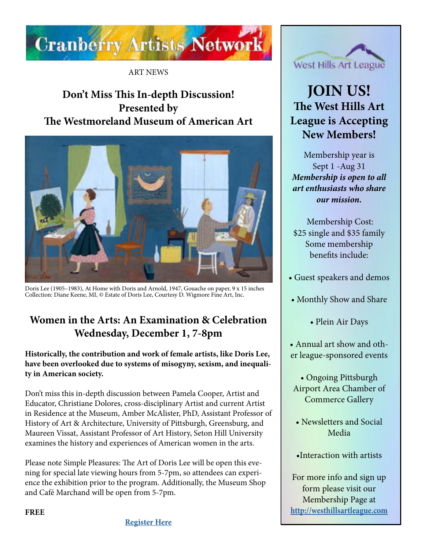

ART NEWS

# **Don't Miss This In-depth Discussion! Presented by The Westmoreland Museum of American Art**



Doris Lee (1905–1983), At Home with Doris and Arnold, 1947, Gouache on paper, 9 x 15 inches Collection: Diane Keene, MI, © Estate of Doris Lee, Courtesy D. Wigmore Fine Art, Inc.

# **Women in the Arts: An Examination & Celebration Wednesday, December 1, 7-8pm**

**Historically, the contribution and work of female artists, like Doris Lee, have been overlooked due to systems of misogyny, sexism, and inequality in American society.**

Don't miss this in-depth discussion between Pamela Cooper, Artist and Educator, Christiane Dolores, cross-disciplinary Artist and current Artist in Residence at the Museum, Amber McAlister, PhD, Assistant Professor of History of Art & Architecture, University of Pittsburgh, Greensburg, and Maureen Vissat, Assistant Professor of Art History, Seton Hill University examines the history and experiences of American women in the arts.

Please note Simple Pleasures: The Art of Doris Lee will be open this evening for special late viewing hours from 5-7pm, so attendees can experience the exhibition prior to the program. Additionally, the Museum Shop and Café Marchand will be open from 5-7pm.



# **JOIN US! The West Hills Art League is Accepting New Members!**

Membership year is Sept 1 -Aug 31 *Membership is open to all art enthusiasts who share our mission.*

Membership Cost: \$25 single and \$35 family Some membership benefits include:

- Guest speakers and demos
- Monthly Show and Share
	- Plein Air Days
- Annual art show and other league-sponsored events
	- Ongoing Pittsburgh Airport Area Chamber of Commerce Gallery
	- Newsletters and Social Media
	- •Interaction with artists

For more info and sign up form please visit our Membership Page at **<http://westhillsartleague.com>**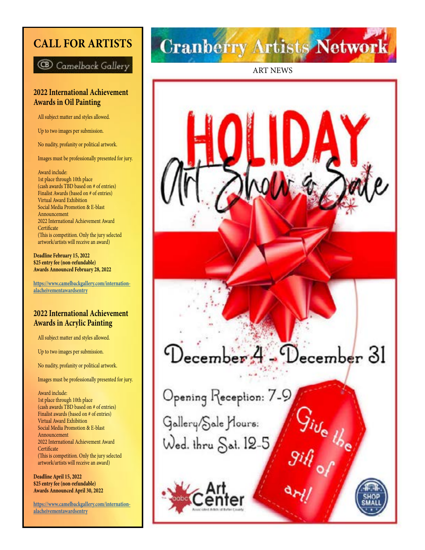## **CALL FOR ARTISTS**

**B** Camelback Gallery

#### **2022 International Achievement Awards in Oil Painting**

All subject matter and styles allowed.

Up to two images per submission.

No nudity, profanity or political artwork.

Images must be professionally presented for jury.

 Award include: 1st place through 10th place (cash awards TBD based on # of entries) Finalist Awards (based on # of entries) Virtual Award Exhibition Social Media Promotion & E-blast Announcement 2022 International Achievement Award **Certificate**  (This is competition. Only the jury selected artwork/artists will receive an award)

**Deadline February 15, 2022 \$25 entry fee (non-refundable) Awards Announced February 28, 2022**

**[https://www.camelbackgallery.com/internation](https://www.camelbackgallery.com/internationalacheivementawardsentry) [alacheivementawardsentry](https://www.camelbackgallery.com/internationalacheivementawardsentry)**

#### **2022 International Achievement Awards in Acrylic Painting**

All subject matter and styles allowed.

Up to two images per submission.

No nudity, profanity or political artwork.

Images must be professionally presented for jury.

 Award include: 1st place through 10th place (cash awards TBD based on # of entries) Finalist awards (based on # of entries) Virtual Award Exhibition Social Media Promotion & E-blast Announcement 2022 International Achievement Award **Certificate**  (This is competition. Only the jury selected artwork/artists will receive an award)

**Deadline April 15, 2022 \$25 entry fee (non-refundable) Awards Announced April 30, 2022**

**[https://www.camelbackgallery.com/internation](https://www.camelbackgallery.com/internationalacheivementawardsentry) [alacheivementawardsentry](https://www.camelbackgallery.com/internationalacheivementawardsentry)**

# **Cranberry Artists Network**

ART NEWS